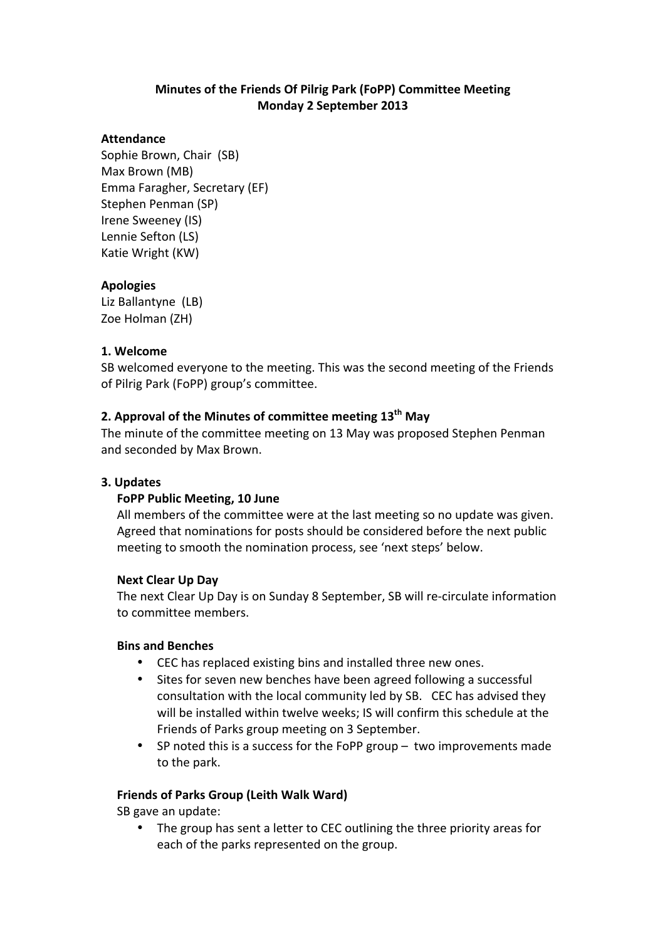## **Minutes of the Friends Of Pilrig Park (FoPP) Committee Meeting Monday 2 September 2013**

### **Attendance**

Sophie Brown, Chair (SB) Max Brown (MB) Emma Faragher, Secretary (EF) Stephen Penman (SP) Irene Sweeney (IS) Lennie Sefton (LS) Katie Wright (KW)

### **Apologies**

Liz Ballantyne (LB) Zoe Holman (ZH)

### **1. Welcome**

SB welcomed everyone to the meeting. This was the second meeting of the Friends of Pilrig Park (FoPP) group's committee.

### **2.** Approval of the Minutes of committee meeting 13<sup>th</sup> May

The minute of the committee meeting on 13 May was proposed Stephen Penman and seconded by Max Brown.

### **3. Updates**

### **FoPP Public Meeting, 10 June**

All members of the committee were at the last meeting so no update was given. Agreed that nominations for posts should be considered before the next public meeting to smooth the nomination process, see 'next steps' below.

### **Next Clear Up Day**

The next Clear Up Day is on Sunday 8 September, SB will re-circulate information to committee members.

### **Bins and Benches**

- CEC has replaced existing bins and installed three new ones.
- Sites for seven new benches have been agreed following a successful consultation with the local community led by SB. CEC has advised they will be installed within twelve weeks; IS will confirm this schedule at the Friends of Parks group meeting on 3 September.
- SP noted this is a success for the FoPP group  $-$  two improvements made to the park.

### **Friends of Parks Group (Leith Walk Ward)**

SB gave an update:

• The group has sent a letter to CEC outlining the three priority areas for each of the parks represented on the group.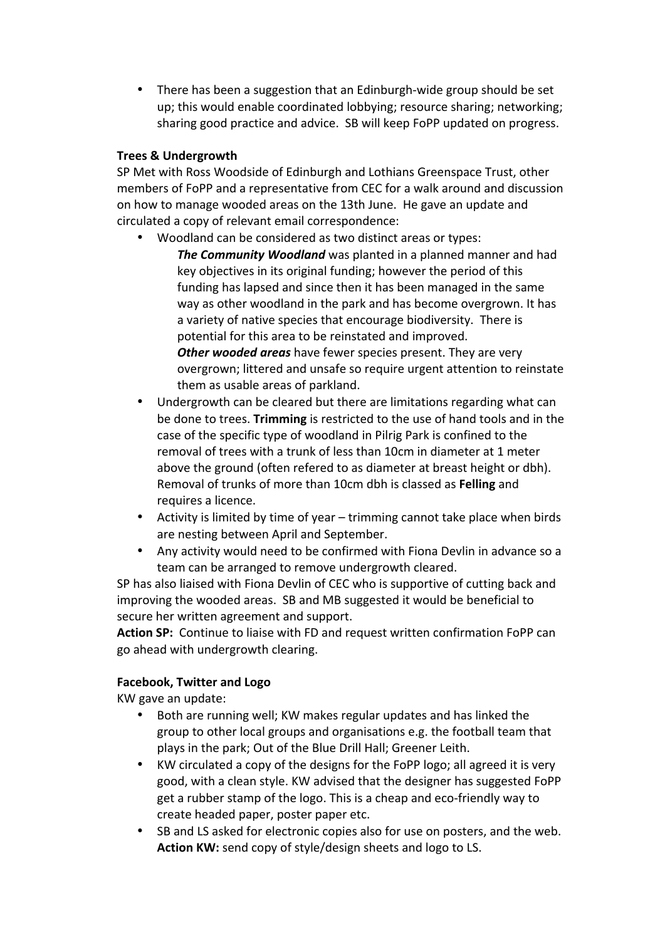• There has been a suggestion that an Edinburgh-wide group should be set up; this would enable coordinated lobbying; resource sharing; networking; sharing good practice and advice. SB will keep FoPP updated on progress.

## **Trees & Undergrowth**

SP Met with Ross Woodside of Edinburgh and Lothians Greenspace Trust, other members of FoPP and a representative from CEC for a walk around and discussion on how to manage wooded areas on the 13th June. He gave an update and circulated a copy of relevant email correspondence:

- Woodland can be considered as two distinct areas or types:
	- **The Community Woodland** was planted in a planned manner and had key objectives in its original funding; however the period of this funding has lapsed and since then it has been managed in the same way as other woodland in the park and has become overgrown. It has a variety of native species that encourage biodiversity. There is potential for this area to be reinstated and improved. **Other wooded areas** have fewer species present. They are very overgrown; littered and unsafe so require urgent attention to reinstate them as usable areas of parkland.
- Undergrowth can be cleared but there are limitations regarding what can be done to trees. **Trimming** is restricted to the use of hand tools and in the case of the specific type of woodland in Pilrig Park is confined to the removal of trees with a trunk of less than 10cm in diameter at 1 meter above the ground (often refered to as diameter at breast height or dbh). Removal of trunks of more than 10cm dbh is classed as **Felling** and requires a licence.
- Activity is limited by time of year trimming cannot take place when birds are nesting between April and September.
- Any activity would need to be confirmed with Fiona Devlin in advance so a team can be arranged to remove undergrowth cleared.

SP has also liaised with Fiona Devlin of CEC who is supportive of cutting back and improving the wooded areas. SB and MB suggested it would be beneficial to secure her written agreement and support.

Action SP: Continue to liaise with FD and request written confirmation FoPP can go ahead with undergrowth clearing.

## **Facebook, Twitter and Logo**

KW gave an update:

- Both are running well; KW makes regular updates and has linked the group to other local groups and organisations e.g. the football team that plays in the park; Out of the Blue Drill Hall; Greener Leith.
- KW circulated a copy of the designs for the FoPP logo; all agreed it is very good, with a clean style. KW advised that the designer has suggested FoPP get a rubber stamp of the logo. This is a cheap and eco-friendly way to create headed paper, poster paper etc.
- SB and LS asked for electronic copies also for use on posters, and the web. Action KW: send copy of style/design sheets and logo to LS.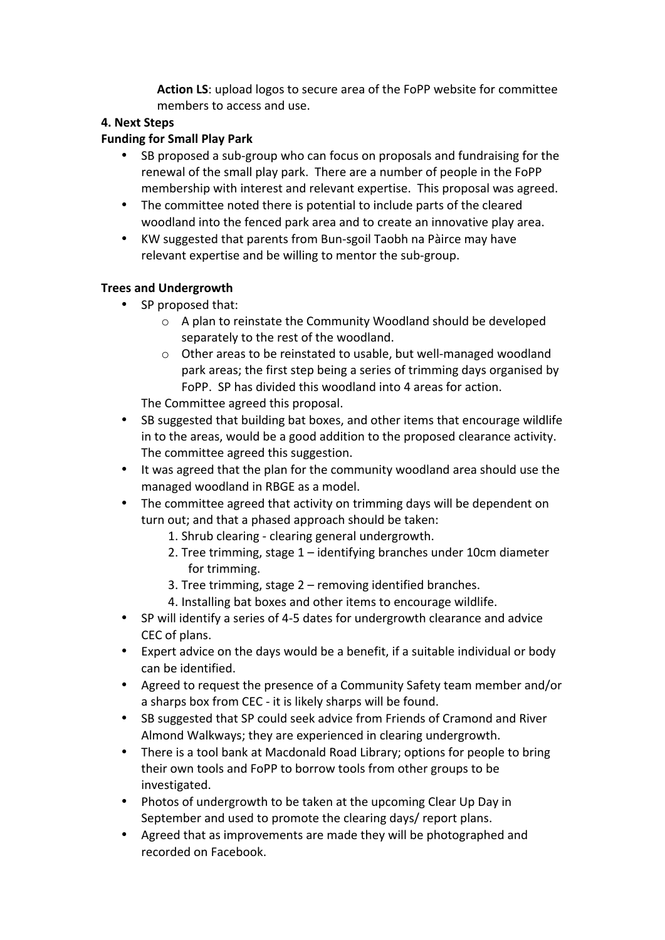Action LS: upload logos to secure area of the FoPP website for committee members to access and use.

## **4. Next Steps**

## **Funding for Small Play Park**

- SB proposed a sub-group who can focus on proposals and fundraising for the renewal of the small play park. There are a number of people in the FoPP membership with interest and relevant expertise. This proposal was agreed.
- The committee noted there is potential to include parts of the cleared woodland into the fenced park area and to create an innovative play area.
- KW suggested that parents from Bun-sgoil Taobh na Pàirce may have relevant expertise and be willing to mentor the sub-group.

# **Trees and Undergrowth**

- SP proposed that:
	- $\circ$  A plan to reinstate the Community Woodland should be developed separately to the rest of the woodland.
	- $\circ$  Other areas to be reinstated to usable, but well-managed woodland park areas; the first step being a series of trimming days organised by FoPP. SP has divided this woodland into 4 areas for action.

The Committee agreed this proposal.

- SB suggested that building bat boxes, and other items that encourage wildlife in to the areas, would be a good addition to the proposed clearance activity. The committee agreed this suggestion.
- It was agreed that the plan for the community woodland area should use the managed woodland in RBGE as a model.
- The committee agreed that activity on trimming days will be dependent on turn out; and that a phased approach should be taken:
	- 1. Shrub clearing clearing general undergrowth.
	- 2. Tree trimming, stage  $1$  identifying branches under  $10$ cm diameter for trimming.
	- 3. Tree trimming, stage  $2$  removing identified branches.
	- 4. Installing bat boxes and other items to encourage wildlife.
- SP will identify a series of 4-5 dates for undergrowth clearance and advice CEC of plans.
- Expert advice on the days would be a benefit, if a suitable individual or body can be identified.
- Agreed to request the presence of a Community Safety team member and/or a sharps box from CEC - it is likely sharps will be found.
- SB suggested that SP could seek advice from Friends of Cramond and River Almond Walkways; they are experienced in clearing undergrowth.
- There is a tool bank at Macdonald Road Library; options for people to bring their own tools and FoPP to borrow tools from other groups to be investigated.
- Photos of undergrowth to be taken at the upcoming Clear Up Day in September and used to promote the clearing days/ report plans.
- Agreed that as improvements are made they will be photographed and recorded on Facebook.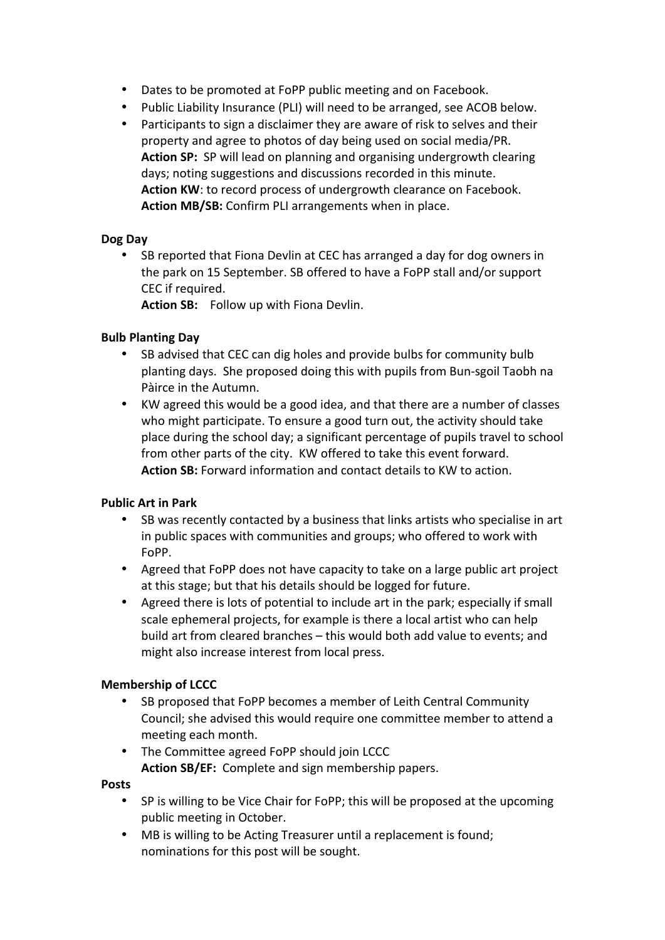- Dates to be promoted at FoPP public meeting and on Facebook.
- Public Liability Insurance (PLI) will need to be arranged, see ACOB below.
- Participants to sign a disclaimer they are aware of risk to selves and their property and agree to photos of day being used on social media/PR. **Action SP:** SP will lead on planning and organising undergrowth clearing days; noting suggestions and discussions recorded in this minute. **Action KW**: to record process of undergrowth clearance on Facebook. **Action MB/SB:** Confirm PLI arrangements when in place.

## **Dog Day**

SB reported that Fiona Devlin at CEC has arranged a day for dog owners in the park on 15 September. SB offered to have a FoPP stall and/or support CEC if required.

**Action SB:** Follow up with Fiona Devlin.

## **Bulb Planting Day**

- SB advised that CEC can dig holes and provide bulbs for community bulb planting days. She proposed doing this with pupils from Bun-sgoil Taobh na Pàirce in the Autumn.
- KW agreed this would be a good idea, and that there are a number of classes who might participate. To ensure a good turn out, the activity should take place during the school day; a significant percentage of pupils travel to school from other parts of the city. KW offered to take this event forward. **Action SB:** Forward information and contact details to KW to action.

## **Public Art in Park**

- SB was recently contacted by a business that links artists who specialise in art in public spaces with communities and groups; who offered to work with FoPP.
- Agreed that FoPP does not have capacity to take on a large public art project at this stage; but that his details should be logged for future.
- Agreed there is lots of potential to include art in the park; especially if small scale ephemeral projects, for example is there a local artist who can help build art from cleared branches – this would both add value to events; and might also increase interest from local press.

## **Membership of LCCC**

- SB proposed that FoPP becomes a member of Leith Central Community Council; she advised this would require one committee member to attend a meeting each month.
- The Committee agreed FoPP should join LCCC Action SB/EF: Complete and sign membership papers.

**Posts**

- SP is willing to be Vice Chair for FoPP; this will be proposed at the upcoming public meeting in October.
- MB is willing to be Acting Treasurer until a replacement is found; nominations for this post will be sought.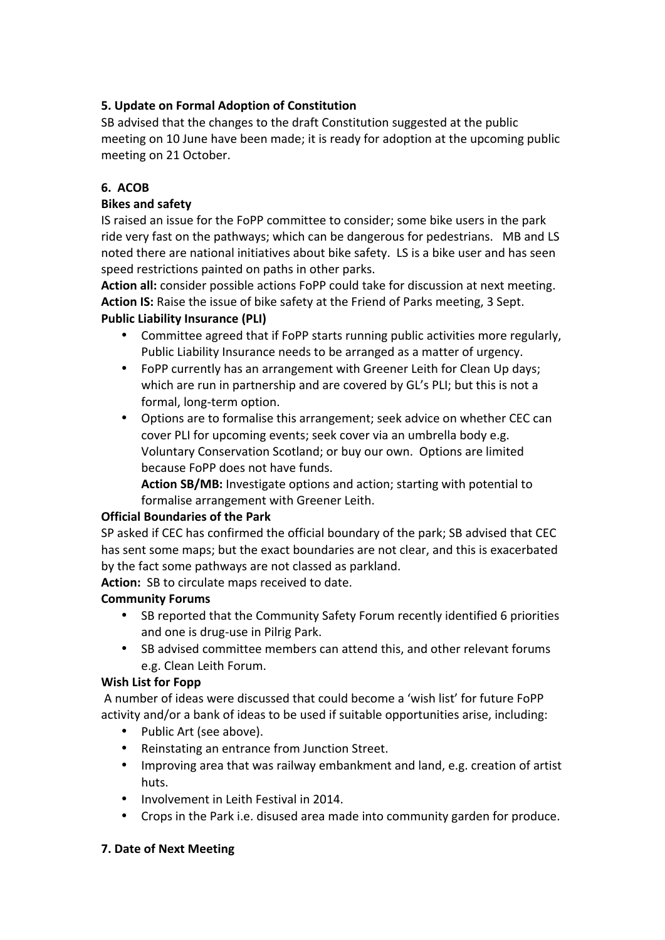# **5. Update on Formal Adoption of Constitution**

SB advised that the changes to the draft Constitution suggested at the public meeting on 10 June have been made; it is ready for adoption at the upcoming public meeting on 21 October.

## **6. ACOB**

## **Bikes and safety**

IS raised an issue for the FoPP committee to consider; some bike users in the park ride very fast on the pathways; which can be dangerous for pedestrians. MB and LS noted there are national initiatives about bike safety. LS is a bike user and has seen speed restrictions painted on paths in other parks.

Action all: consider possible actions FoPP could take for discussion at next meeting. Action IS: Raise the issue of bike safety at the Friend of Parks meeting, 3 Sept.

## **Public Liability Insurance (PLI)**

- Committee agreed that if FoPP starts running public activities more regularly, Public Liability Insurance needs to be arranged as a matter of urgency.
- FoPP currently has an arrangement with Greener Leith for Clean Up days; which are run in partnership and are covered by GL's PLI; but this is not a formal, long-term option.
- Options are to formalise this arrangement; seek advice on whether CEC can cover PLI for upcoming events; seek cover via an umbrella body e.g. Voluntary Conservation Scotland; or buy our own. Options are limited because FoPP does not have funds.

**Action SB/MB:** Investigate options and action; starting with potential to formalise arrangement with Greener Leith.

## **Official Boundaries of the Park**

SP asked if CEC has confirmed the official boundary of the park; SB advised that CEC has sent some maps; but the exact boundaries are not clear, and this is exacerbated by the fact some pathways are not classed as parkland.

**Action:** SB to circulate maps received to date.

# **Community Forums**

- SB reported that the Community Safety Forum recently identified 6 priorities and one is drug-use in Pilrig Park.
- SB advised committee members can attend this, and other relevant forums e.g. Clean Leith Forum.

## **Wish List for Fopp**

A number of ideas were discussed that could become a 'wish list' for future FoPP activity and/or a bank of ideas to be used if suitable opportunities arise, including:

- Public Art (see above).
- Reinstating an entrance from Junction Street.
- Improving area that was railway embankment and land, e.g. creation of artist huts.
- Involvement in Leith Festival in 2014.
- Crops in the Park i.e. disused area made into community garden for produce.

# **7. Date of Next Meeting**